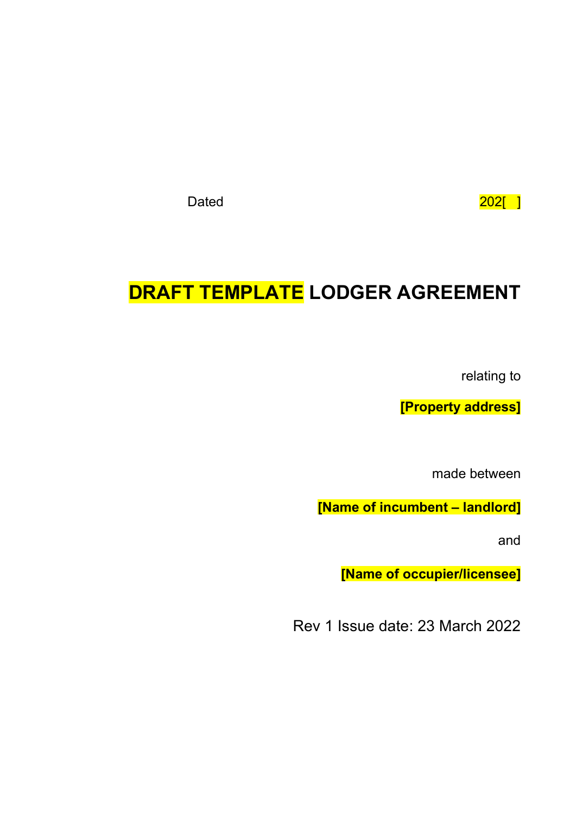Dated 202[ ]

# **DRAFT TEMPLATE LODGER AGREEMENT**

relating to

**[Property address]**

made between

**[Name of incumbent – landlord]**

and

**[Name of occupier/licensee]**

Rev 1 Issue date: 23 March 2022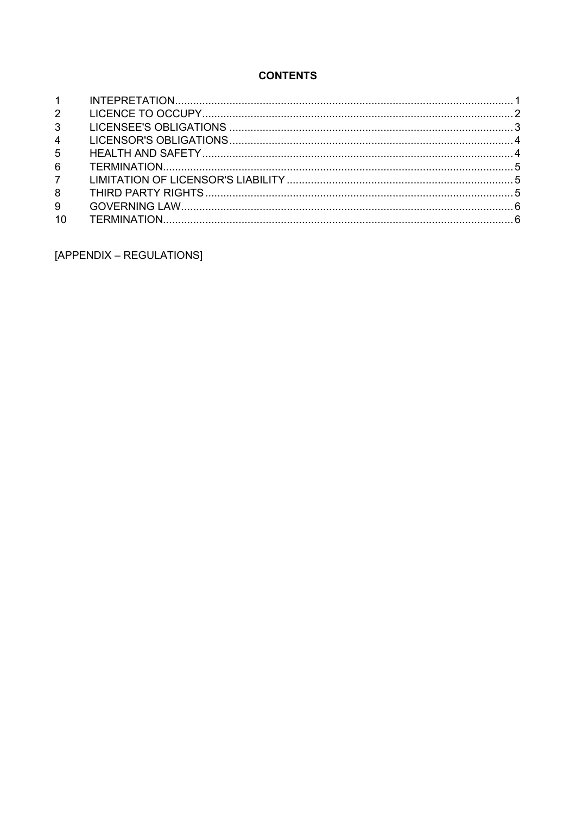# **CONTENTS**

| $2^{\circ}$    |  |
|----------------|--|
| 3 <sup>7</sup> |  |
| $\overline{4}$ |  |
| 5 <sup>5</sup> |  |
| $6\phantom{1}$ |  |
| $7^{\circ}$    |  |
| 8              |  |
| 9              |  |
| 10             |  |
|                |  |

[APPENDIX - REGULATIONS]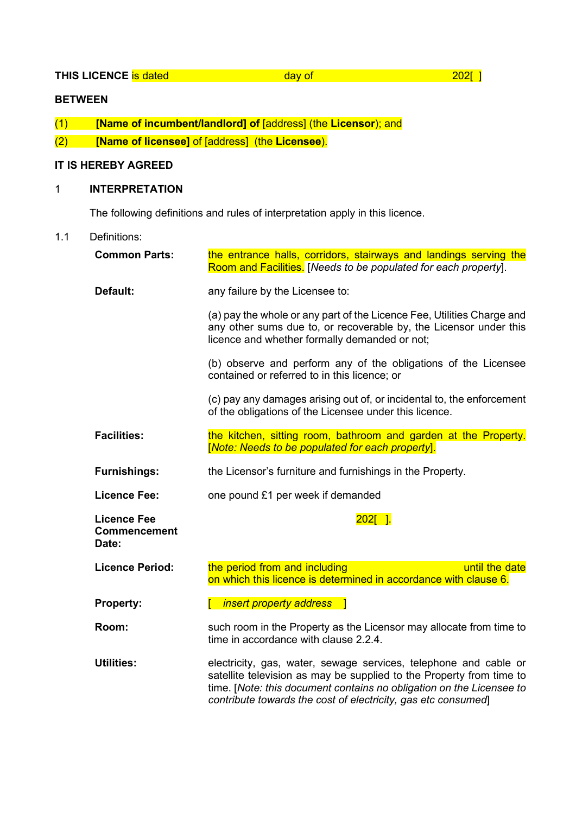**THIS LICENCE** is dated day of **202[ ]** 

# **BETWEEN**

- (1) **[Name of incumbent/landlord] of** [address] (the **Licensor**); and
- (2) **[Name of licensee]** of [address] (the **Licensee**).

# **IT IS HEREBY AGREED**

## 1 **INTERPRETATION**

<span id="page-2-0"></span>The following definitions and rules of interpretation apply in this licence.

1.1 Definitions:

| <b>Common Parts:</b>                               | the entrance halls, corridors, stairways and landings serving the<br>Room and Facilities. [Needs to be populated for each property].                                                                                                                                              |  |  |
|----------------------------------------------------|-----------------------------------------------------------------------------------------------------------------------------------------------------------------------------------------------------------------------------------------------------------------------------------|--|--|
| Default:                                           | any failure by the Licensee to:                                                                                                                                                                                                                                                   |  |  |
|                                                    | (a) pay the whole or any part of the Licence Fee, Utilities Charge and<br>any other sums due to, or recoverable by, the Licensor under this<br>licence and whether formally demanded or not;                                                                                      |  |  |
|                                                    | (b) observe and perform any of the obligations of the Licensee<br>contained or referred to in this licence; or                                                                                                                                                                    |  |  |
|                                                    | (c) pay any damages arising out of, or incidental to, the enforcement<br>of the obligations of the Licensee under this licence.                                                                                                                                                   |  |  |
| <b>Facilities:</b>                                 | the kitchen, sitting room, bathroom and garden at the Property.<br>[Note: Needs to be populated for each property].                                                                                                                                                               |  |  |
| <b>Furnishings:</b>                                | the Licensor's furniture and furnishings in the Property.                                                                                                                                                                                                                         |  |  |
| <b>Licence Fee:</b>                                | one pound £1 per week if demanded                                                                                                                                                                                                                                                 |  |  |
| <b>Licence Fee</b><br><b>Commencement</b><br>Date: | $202$ [ ].                                                                                                                                                                                                                                                                        |  |  |
| <b>Licence Period:</b>                             | the period from and including<br>until the date<br>on which this licence is determined in accordance with clause 6.                                                                                                                                                               |  |  |
| <b>Property:</b>                                   | [ insert property address ]                                                                                                                                                                                                                                                       |  |  |
| Room:                                              | such room in the Property as the Licensor may allocate from time to<br>time in accordance with clause 2.2.4.                                                                                                                                                                      |  |  |
| <b>Utilities:</b>                                  | electricity, gas, water, sewage services, telephone and cable or<br>satellite television as may be supplied to the Property from time to<br>time. [Note: this document contains no obligation on the Licensee to<br>contribute towards the cost of electricity, gas etc consumed] |  |  |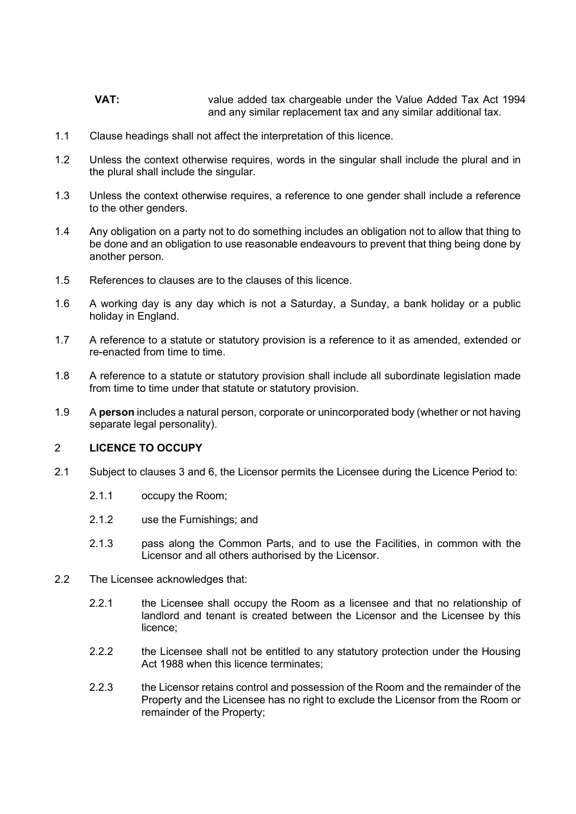- **VAT:** value added tax chargeable under the Value Added Tax Act 1994 and any similar replacement tax and any similar additional tax.
- 1.1 Clause headings shall not affect the interpretation of this licence.
- 1.2 Unless the context otherwise requires, words in the singular shall include the plural and in the plural shall include the singular.
- 1.3 Unless the context otherwise requires, a reference to one gender shall include a reference to the other genders.
- 1.4 Any obligation on a party not to do something includes an obligation not to allow that thing to be done and an obligation to use reasonable endeavours to prevent that thing being done by another person.
- 1.5 References to clauses are to the clauses of this licence.
- 1.6 A working day is any day which is not a Saturday, a Sunday, a bank holiday or a public holiday in England.
- 1.7 A reference to a statute or statutory provision is a reference to it as amended, extended or re-enacted from time to time.
- 1.8 A reference to a statute or statutory provision shall include all subordinate legislation made from time to time under that statute or statutory provision.
- 1.9 A **person** includes a natural person, corporate or unincorporated body (whether or not having separate legal personality).

#### <span id="page-3-2"></span><span id="page-3-0"></span>2 **LICENCE TO OCCUPY**

- <span id="page-3-1"></span>2.1 Subject to clauses [3](#page-4-2) and [6,](#page-6-3) the Licensor permits the Licensee during the Licence Period to:
	- 2.1.1 occupy the Room;
	- 2.1.2 use the Furnishings; and
	- 2.1.3 pass along the Common Parts, and to use the Facilities, in common with the Licensor and all others authorised by the Licensor.
- 2.2 The Licensee acknowledges that:
	- 2.2.1 the Licensee shall occupy the Room as a licensee and that no relationship of landlord and tenant is created between the Licensor and the Licensee by this licence;
	- 2.2.2 the Licensee shall not be entitled to any statutory protection under the Housing Act 1988 when this licence terminates;
	- 2.2.3 the Licensor retains control and possession of the Room and the remainder of the Property and the Licensee has no right to exclude the Licensor from the Room or remainder of the Property;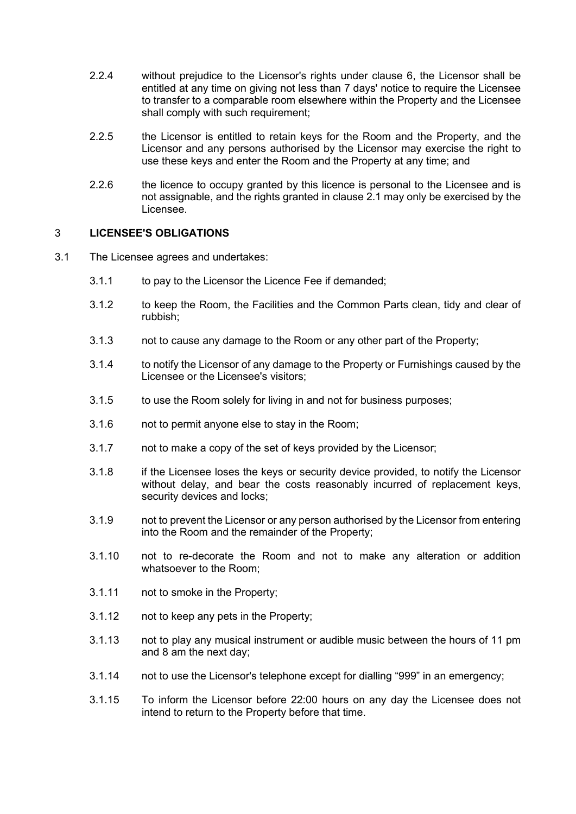- <span id="page-4-1"></span>2.2.4 without prejudice to the Licensor's rights under clause 6, the Licensor shall be entitled at any time on giving not less than 7 days' notice to require the Licensee to transfer to a comparable room elsewhere within the Property and the Licensee shall comply with such requirement;
- 2.2.5 the Licensor is entitled to retain keys for the Room and the Property, and the Licensor and any persons authorised by the Licensor may exercise the right to use these keys and enter the Room and the Property at any time; and
- <span id="page-4-0"></span>2.2.6 the licence to occupy granted by this licence is personal to the Licensee and is not assignable, and the rights granted in clause [2.1](#page-3-1) may only be exercised by the Licensee.

# <span id="page-4-2"></span>3 **LICENSEE'S OBLIGATIONS**

- 3.1 The Licensee agrees and undertakes:
	- 3.1.1 to pay to the Licensor the Licence Fee if demanded;
	- 3.1.2 to keep the Room, the Facilities and the Common Parts clean, tidy and clear of rubbish;
	- 3.1.3 not to cause any damage to the Room or any other part of the Property;
	- 3.1.4 to notify the Licensor of any damage to the Property or Furnishings caused by the Licensee or the Licensee's visitors;
	- 3.1.5 to use the Room solely for living in and not for business purposes;
	- 3.1.6 not to permit anyone else to stay in the Room;
	- 3.1.7 not to make a copy of the set of keys provided by the Licensor;
	- 3.1.8 if the Licensee loses the keys or security device provided, to notify the Licensor without delay, and bear the costs reasonably incurred of replacement keys, security devices and locks;
	- 3.1.9 not to prevent the Licensor or any person authorised by the Licensor from entering into the Room and the remainder of the Property;
	- 3.1.10 not to re-decorate the Room and not to make any alteration or addition whatsoever to the Room;
	- 3.1.11 not to smoke in the Property;
	- 3.1.12 not to keep any pets in the Property;
	- 3.1.13 not to play any musical instrument or audible music between the hours of 11 pm and 8 am the next day;
	- 3.1.14 not to use the Licensor's telephone except for dialling "999" in an emergency;
	- 3.1.15 To inform the Licensor before 22:00 hours on any day the Licensee does not intend to return to the Property before that time.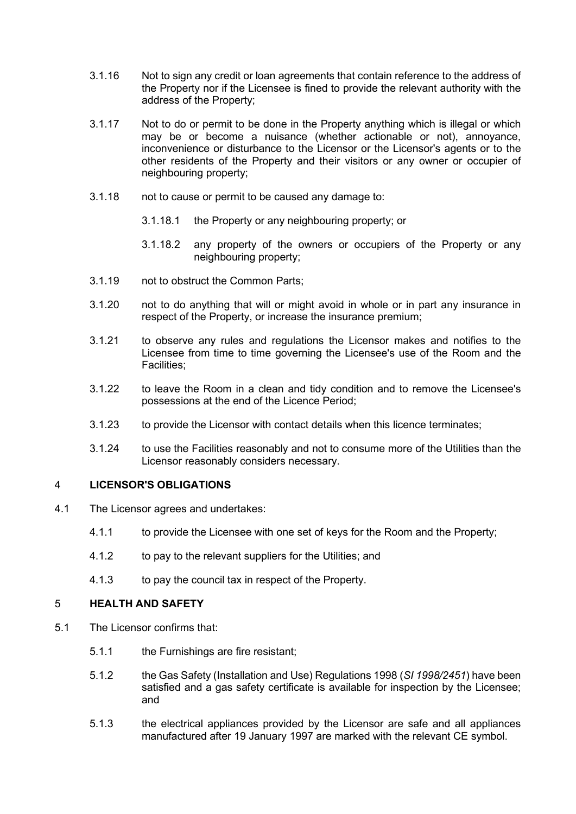- 3.1.16 Not to sign any credit or loan agreements that contain reference to the address of the Property nor if the Licensee is fined to provide the relevant authority with the address of the Property;
- 3.1.17 Not to do or permit to be done in the Property anything which is illegal or which may be or become a nuisance (whether actionable or not), annoyance, inconvenience or disturbance to the Licensor or the Licensor's agents or to the other residents of the Property and their visitors or any owner or occupier of neighbouring property;
- 3.1.18 not to cause or permit to be caused any damage to:
	- 3.1.18.1 the Property or any neighbouring property; or
	- 3.1.18.2 any property of the owners or occupiers of the Property or any neighbouring property;
- 3.1.19 not to obstruct the Common Parts;
- 3.1.20 not to do anything that will or might avoid in whole or in part any insurance in respect of the Property, or increase the insurance premium;
- 3.1.21 to observe any rules and regulations the Licensor makes and notifies to the Licensee from time to time governing the Licensee's use of the Room and the Facilities;
- 3.1.22 to leave the Room in a clean and tidy condition and to remove the Licensee's possessions at the end of the Licence Period;
- 3.1.23 to provide the Licensor with contact details when this licence terminates;
- <span id="page-5-0"></span>3.1.24 to use the Facilities reasonably and not to consume more of the Utilities than the Licensor reasonably considers necessary.

#### 4 **LICENSOR'S OBLIGATIONS**

- 4.1 The Licensor agrees and undertakes:
	- 4.1.1 to provide the Licensee with one set of keys for the Room and the Property;
	- 4.1.2 to pay to the relevant suppliers for the Utilities; and
	- 4.1.3 to pay the council tax in respect of the Property.

#### <span id="page-5-1"></span>5 **HEALTH AND SAFETY**

- 5.1 The Licensor confirms that:
	- 5.1.1 the Furnishings are fire resistant;
	- 5.1.2 the Gas Safety (Installation and Use) Regulations 1998 (*SI 1998/2451*) have been satisfied and a gas safety certificate is available for inspection by the Licensee; and
	- 5.1.3 the electrical appliances provided by the Licensor are safe and all appliances manufactured after 19 January 1997 are marked with the relevant CE symbol.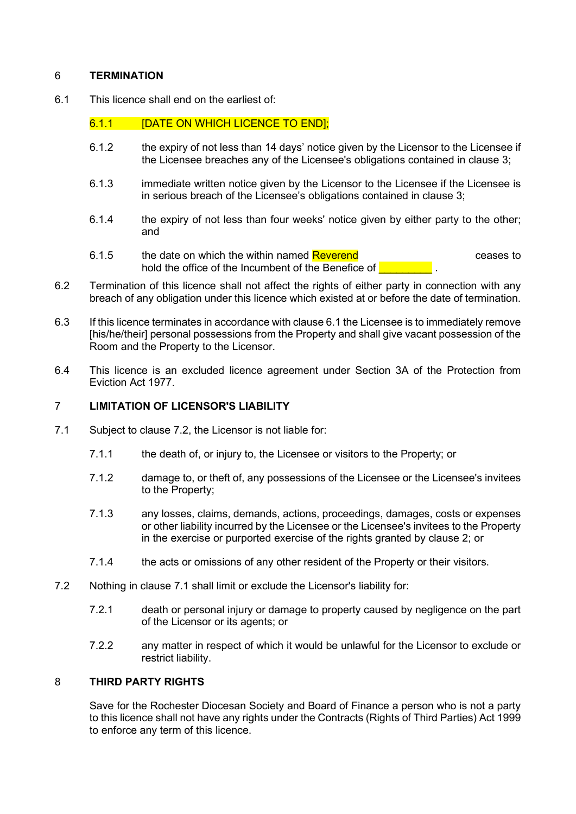#### <span id="page-6-3"></span>6 **TERMINATION**

<span id="page-6-4"></span>6.1 This licence shall end on the earliest of:

# <span id="page-6-0"></span>6.1.1 **[DATE ON WHICH LICENCE TO END];**

- 6.1.2 the expiry of not less than 14 days' notice given by the Licensor to the Licensee if the Licensee breaches any of the Licensee's obligations contained in clause [3;](#page-4-2)
- 6.1.3 immediate written notice given by the Licensor to the Licensee if the Licensee is in serious breach of the Licensee's obligations contained in clause 3;
- 6.1.4 the expiry of not less than four weeks' notice given by either party to the other; and
- 6.1.5 the date on which the within named **Reverend ceases** to hold the office of the Incumbent of the Benefice of **Languary 2016**
- 6.2 Termination of this licence shall not affect the rights of either party in connection with any breach of any obligation under this licence which existed at or before the date of termination.
- 6.3 If this licence terminates in accordance with clause [6.1](#page-6-4) the Licensee is to immediately remove [his/he/their] personal possessions from the Property and shall give vacant possession of the Room and the Property to the Licensor.
- 6.4 This licence is an excluded licence agreement under Section 3A of the Protection from Eviction Act 1977.

## <span id="page-6-1"></span>7 **LIMITATION OF LICENSOR'S LIABILITY**

- <span id="page-6-6"></span>7.1 Subject to clause [7.2,](#page-6-5) the Licensor is not liable for:
	- 7.1.1 the death of, or injury to, the Licensee or visitors to the Property; or
	- 7.1.2 damage to, or theft of, any possessions of the Licensee or the Licensee's invitees to the Property;
	- 7.1.3 any losses, claims, demands, actions, proceedings, damages, costs or expenses or other liability incurred by the Licensee or the Licensee's invitees to the Property in the exercise or purported exercise of the rights granted by clause [2;](#page-3-2) or
	- 7.1.4 the acts or omissions of any other resident of the Property or their visitors.
- <span id="page-6-5"></span>7.2 Nothing in clause [7.1](#page-6-6) shall limit or exclude the Licensor's liability for:
	- 7.2.1 death or personal injury or damage to property caused by negligence on the part of the Licensor or its agents; or
	- 7.2.2 any matter in respect of which it would be unlawful for the Licensor to exclude or restrict liability.

#### 8 **THIRD PARTY RIGHTS**

<span id="page-6-2"></span>Save for the Rochester Diocesan Society and Board of Finance a person who is not a party to this licence shall not have any rights under the Contracts (Rights of Third Parties) Act 1999 to enforce any term of this licence.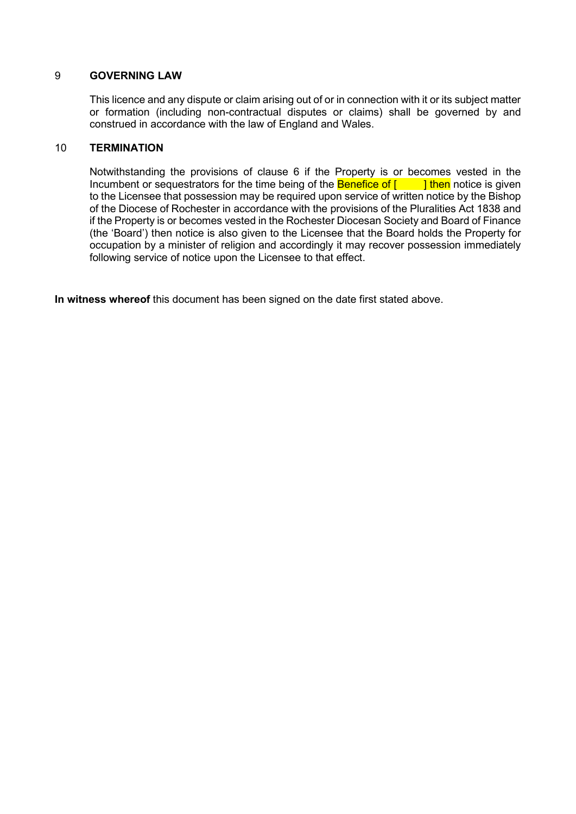#### 9 **GOVERNING LAW**

<span id="page-7-0"></span>This licence and any dispute or claim arising out of or in connection with it or its subject matter or formation (including non-contractual disputes or claims) shall be governed by and construed in accordance with the law of England and Wales.

#### 10 **TERMINATION**

<span id="page-7-1"></span>Notwithstanding the provisions of clause 6 if the Property is or becomes vested in the Incumbent or sequestrators for the time being of the **Benefice of [**  $\blacksquare$ ] then notice is given to the Licensee that possession may be required upon service of written notice by the Bishop of the Diocese of Rochester in accordance with the provisions of the Pluralities Act 1838 and if the Property is or becomes vested in the Rochester Diocesan Society and Board of Finance (the 'Board') then notice is also given to the Licensee that the Board holds the Property for occupation by a minister of religion and accordingly it may recover possession immediately following service of notice upon the Licensee to that effect.

**In witness whereof** this document has been signed on the date first stated above.